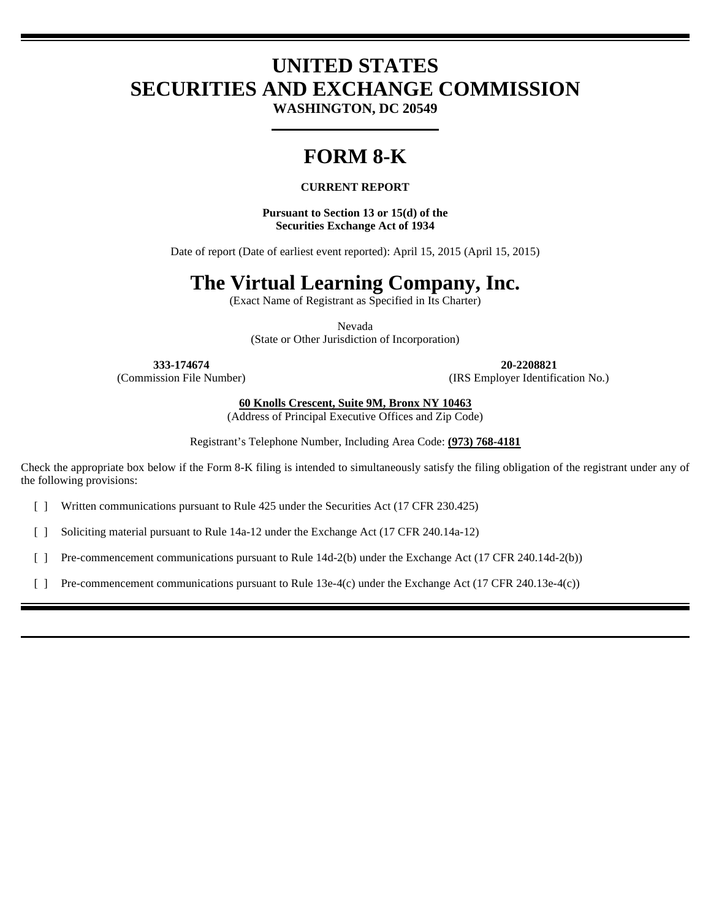# **UNITED STATES SECURITIES AND EXCHANGE COMMISSION**

**WASHINGTON, DC 20549** 

## **FORM 8-K**

#### **CURRENT REPORT**

**Pursuant to Section 13 or 15(d) of the Securities Exchange Act of 1934** 

Date of report (Date of earliest event reported): April 15, 2015 (April 15, 2015)

### **The Virtual Learning Company, Inc.**

(Exact Name of Registrant as Specified in Its Charter)

Nevada (State or Other Jurisdiction of Incorporation)

**333-174674 20-2208821**  (Commission File Number) (IRS Employer Identification No.)

**60 Knolls Crescent, Suite 9M, Bronx NY 10463** 

(Address of Principal Executive Offices and Zip Code)

Registrant's Telephone Number, Including Area Code: **(973) 768-4181** 

Check the appropriate box below if the Form 8-K filing is intended to simultaneously satisfy the filing obligation of the registrant under any of the following provisions:

[ ] Written communications pursuant to Rule 425 under the Securities Act (17 CFR 230.425)

[ ] Soliciting material pursuant to Rule 14a-12 under the Exchange Act (17 CFR 240.14a-12)

[ ] Pre-commencement communications pursuant to Rule 14d-2(b) under the Exchange Act (17 CFR 240.14d-2(b))

[ ] Pre-commencement communications pursuant to Rule 13e-4(c) under the Exchange Act (17 CFR 240.13e-4(c))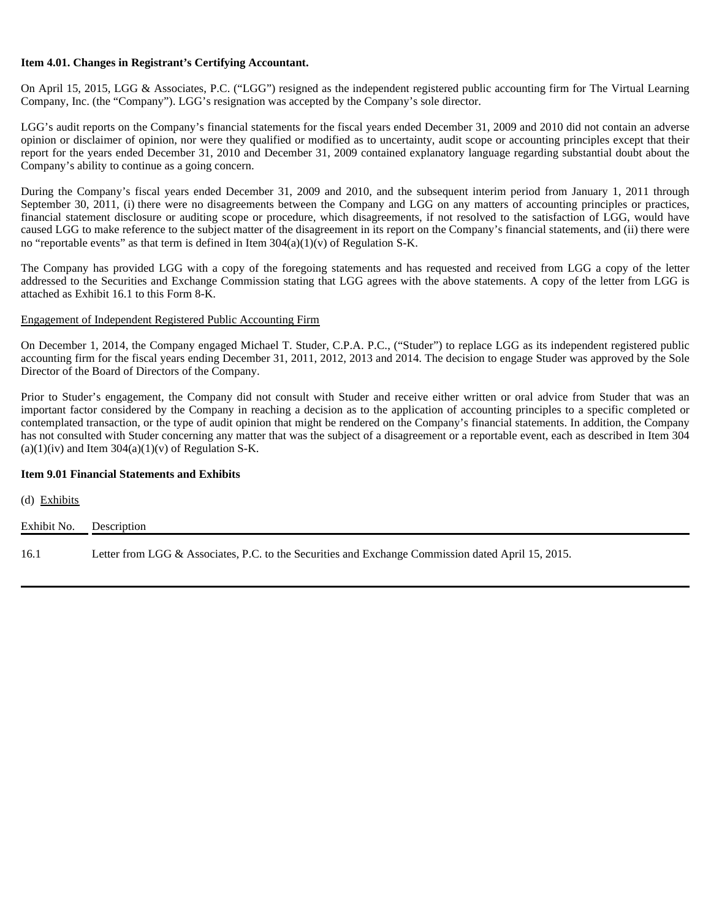#### **Item 4.01. Changes in Registrant's Certifying Accountant.**

On April 15, 2015, LGG & Associates, P.C. ("LGG") resigned as the independent registered public accounting firm for The Virtual Learning Company, Inc. (the "Company"). LGG's resignation was accepted by the Company's sole director.

LGG's audit reports on the Company's financial statements for the fiscal years ended December 31, 2009 and 2010 did not contain an adverse opinion or disclaimer of opinion, nor were they qualified or modified as to uncertainty, audit scope or accounting principles except that their report for the years ended December 31, 2010 and December 31, 2009 contained explanatory language regarding substantial doubt about the Company's ability to continue as a going concern.

During the Company's fiscal years ended December 31, 2009 and 2010, and the subsequent interim period from January 1, 2011 through September 30, 2011, (i) there were no disagreements between the Company and LGG on any matters of accounting principles or practices, financial statement disclosure or auditing scope or procedure, which disagreements, if not resolved to the satisfaction of LGG, would have caused LGG to make reference to the subject matter of the disagreement in its report on the Company's financial statements, and (ii) there were no "reportable events" as that term is defined in Item  $304(a)(1)(v)$  of Regulation S-K.

The Company has provided LGG with a copy of the foregoing statements and has requested and received from LGG a copy of the letter addressed to the Securities and Exchange Commission stating that LGG agrees with the above statements. A copy of the letter from LGG is attached as Exhibit 16.1 to this Form 8-K.

#### Engagement of Independent Registered Public Accounting Firm

On December 1, 2014, the Company engaged Michael T. Studer, C.P.A. P.C., ("Studer") to replace LGG as its independent registered public accounting firm for the fiscal years ending December 31, 2011, 2012, 2013 and 2014. The decision to engage Studer was approved by the Sole Director of the Board of Directors of the Company.

Prior to Studer's engagement, the Company did not consult with Studer and receive either written or oral advice from Studer that was an important factor considered by the Company in reaching a decision as to the application of accounting principles to a specific completed or contemplated transaction, or the type of audit opinion that might be rendered on the Company's financial statements. In addition, the Company has not consulted with Studer concerning any matter that was the subject of a disagreement or a reportable event, each as described in Item 304  $(a)(1)(iv)$  and Item 304 $(a)(1)(v)$  of Regulation S-K.

#### **Item 9.01 Financial Statements and Exhibits**

| (d) Exhibits            |                                                                                                    |
|-------------------------|----------------------------------------------------------------------------------------------------|
| Exhibit No. Description |                                                                                                    |
| 16.1                    | Letter from LGG & Associates, P.C. to the Securities and Exchange Commission dated April 15, 2015. |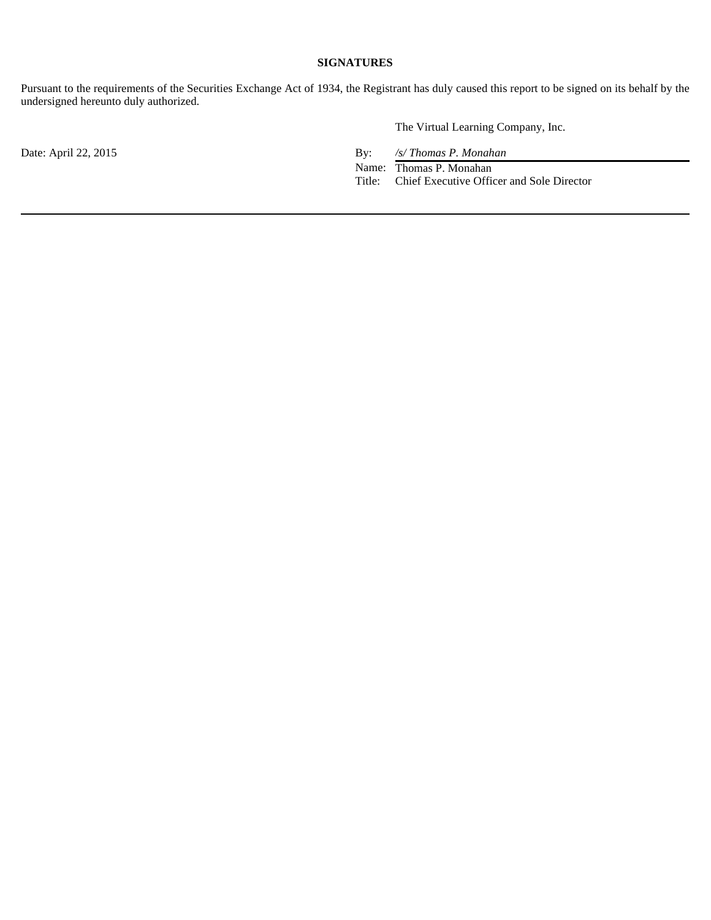#### **SIGNATURES**

Pursuant to the requirements of the Securities Exchange Act of 1934, the Registrant has duly caused this report to be signed on its behalf by the undersigned hereunto duly authorized.

The Virtual Learning Company, Inc.

Date: April 22, 2015 By: */s/ Thomas P. Monahan* 

 Name: Thomas P. Monahan Title: Chief Executive Officer and Sole Director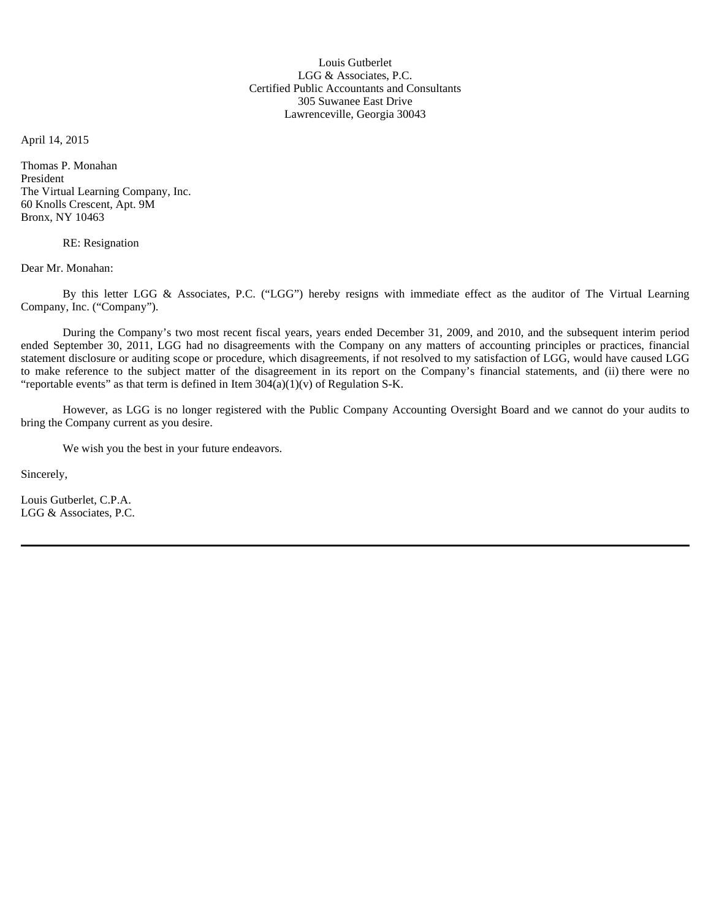Louis Gutberlet LGG & Associates, P.C. Certified Public Accountants and Consultants 305 Suwanee East Drive Lawrenceville, Georgia 30043

April 14, 2015

Thomas P. Monahan President The Virtual Learning Company, Inc. 60 Knolls Crescent, Apt. 9M Bronx, NY 10463

RE: Resignation

Dear Mr. Monahan:

By this letter LGG & Associates, P.C. ("LGG") hereby resigns with immediate effect as the auditor of The Virtual Learning Company, Inc. ("Company").

During the Company's two most recent fiscal years, years ended December 31, 2009, and 2010, and the subsequent interim period ended September 30, 2011, LGG had no disagreements with the Company on any matters of accounting principles or practices, financial statement disclosure or auditing scope or procedure, which disagreements, if not resolved to my satisfaction of LGG, would have caused LGG to make reference to the subject matter of the disagreement in its report on the Company's financial statements, and (ii) there were no "reportable events" as that term is defined in Item  $304(a)(1)(v)$  of Regulation S-K.

However, as LGG is no longer registered with the Public Company Accounting Oversight Board and we cannot do your audits to bring the Company current as you desire.

We wish you the best in your future endeavors.

Sincerely,

Louis Gutberlet, C.P.A. LGG & Associates, P.C.